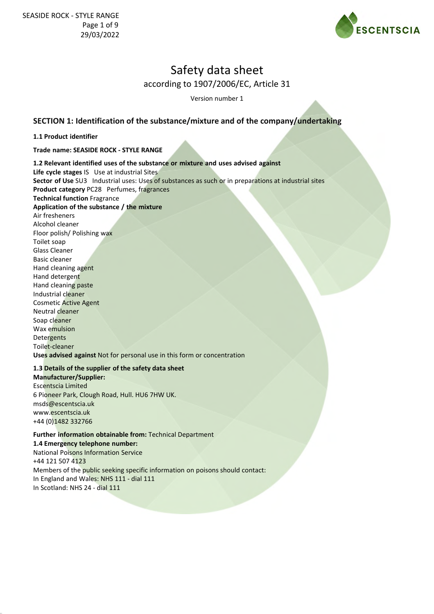

Version number 1

## **SECTION 1: Identification of the substance/mixture and of the company/undertaking**

#### **1.1 Product identifier**

**Trade name: SEASIDE ROCK - STYLE RANGE**

**1.2 Relevant identified uses of the substance or mixture and uses advised against Life cycle stages** IS Use at industrial Sites **Sector of Use** SU3 Industrial uses: Uses of substances as such or in preparations at industrial sites **Product category** PC28 Perfumes, fragrances **Technical function** Fragrance **Application of the substance / the mixture** Air fresheners Alcohol cleaner Floor polish/ Polishing wax Toilet soap Glass Cleaner Basic cleaner Hand cleaning agent Hand detergent Hand cleaning paste Industrial cleaner Cosmetic Active Agent Neutral cleaner Soap cleaner Wax emulsion **Detergents** Toilet-cleaner

**Uses advised against** Not for personal use in this form or concentration

### **1.3 Details of the supplier of the safety data sheet**

**Manufacturer/Supplier:** Escentscia Limited 6 Pioneer Park, Clough Road, Hull. HU6 7HW UK. msds@escentscia.uk www.escentscia.uk +44 (0)1482 332766

### **Further information obtainable from:** Technical Department

**1.4 Emergency telephone number:** National Poisons Information Service +44 121 507 4123 Members of the public seeking specific information on poisons should contact:

In England and Wales: NHS 111 - dial 111 In Scotland: NHS 24 - dial 111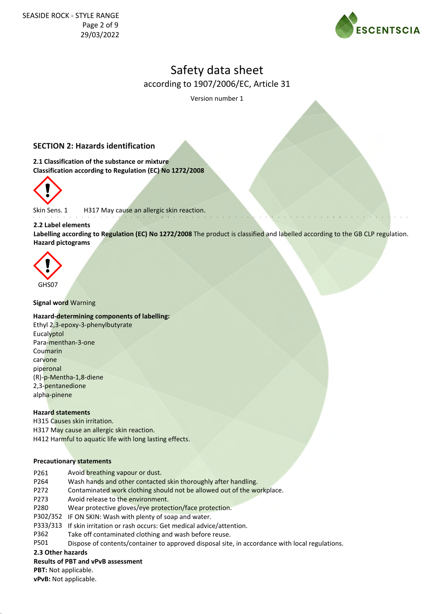

Version number 1

## **SECTION 2: Hazards identification**

**2.1 Classification of the substance or mixture Classification according to Regulation (EC) No 1272/2008**



Skin Sens. 1 H317 May cause an allergic skin reaction.

#### **2.2 Label elements**

**Labelling according to Regulation (EC) No 1272/2008** The product is classified and labelled according to the GB CLP regulation. **Hazard pictograms**



#### **Signal word** Warning

#### **Hazard-determining components of labelling:**

Ethyl 2,3-epoxy-3-phenylbutyrate **Eucalyptol** Para-menthan-3-one Coumarin carvone piperonal (R)-p-Mentha-1,8-diene 2,3-pentanedione alpha-pinene

#### **Hazard statements**

H315 Causes skin irritation. H317 May cause an allergic skin reaction. H412 Harmful to aquatic life with long lasting effects.

#### **Precautionary statements**

- P261 Avoid breathing vapour or dust.
- P264 Wash hands and other contacted skin thoroughly after handling.
- P272 Contaminated work clothing should not be allowed out of the workplace.
- P273 Avoid release to the environment.
- P280 Wear protective gloves/eye protection/face protection.
- P302/352 IF ON SKIN: Wash with plenty of soap and water.
- P333/313 If skin irritation or rash occurs: Get medical advice/attention.
- P362 Take off contaminated clothing and wash before reuse.
- P501 Dispose of contents/container to approved disposal site, in accordance with local regulations.

**2.3 Other hazards**

#### **Results of PBT and vPvB assessment**

**PBT:** Not applicable.

**vPvB:** Not applicable.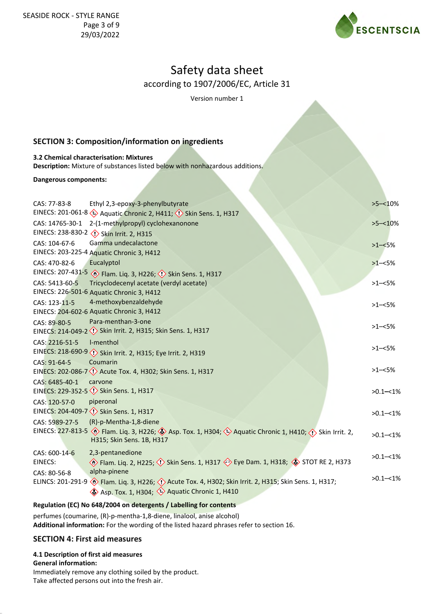

Version number 1

## **SECTION 3: Composition/information on ingredients**

## **3.2 Chemical characterisation: Mixtures**

**Description:** Mixture of substances listed below with nonhazardous additions.

**Dangerous components:**

| CAS: 77-83-8      | Ethyl 2,3-epoxy-3-phenylbutyrate                                                                                                                                                                       | $>5 - 10\%$  |
|-------------------|--------------------------------------------------------------------------------------------------------------------------------------------------------------------------------------------------------|--------------|
|                   | EINECS: 201-061-8 $\leftrightarrow$ Aquatic Chronic 2, H411; $\leftrightarrow$ Skin Sens. 1, H317                                                                                                      |              |
| CAS: 14765-30-1   | 2-(1-methylpropyl) cyclohexanonone                                                                                                                                                                     | $>5 - 10\%$  |
|                   | EINECS: 238-830-2 <>> <>> Skin Irrit. 2, H315                                                                                                                                                          |              |
| CAS: 104-67-6     | Gamma undecalactone                                                                                                                                                                                    | $>1 - 5%$    |
|                   | EINECS: 203-225-4 Aquatic Chronic 3, H412                                                                                                                                                              |              |
| CAS: 470-82-6     | Eucalyptol                                                                                                                                                                                             | $>1 - 5%$    |
| EINECS: 207-431-5 | <b>Example 13 Frame</b> . Liq. 3, H226; <b>(1)</b> Skin Sens. 1, H317                                                                                                                                  |              |
| CAS: 5413-60-5    | Tricyclodecenyl acetate (verdyl acetate)                                                                                                                                                               | $>1 - 5%$    |
|                   | EINECS: 226-501-6 Aquatic Chronic 3, H412                                                                                                                                                              |              |
| CAS: 123-11-5     | 4-methoxybenzaldehyde                                                                                                                                                                                  | $>1 - 5%$    |
|                   | EINECS: 204-602-6 Aquatic Chronic 3, H412                                                                                                                                                              |              |
| CAS: 89-80-5      | Para-menthan-3-one                                                                                                                                                                                     | $>1 - 5%$    |
|                   | EINECS: 214-049-2 <<>>> Skin Irrit. 2, H315; Skin Sens. 1, H317                                                                                                                                        |              |
| CAS: 2216-51-5    | I-menthol                                                                                                                                                                                              |              |
|                   | EINECS: 218-690-9 (1) Skin Irrit. 2, H315; Eye Irrit. 2, H319                                                                                                                                          | $>1 - 5%$    |
| CAS: 91-64-5      | Coumarin                                                                                                                                                                                               |              |
|                   | EINECS: 202-086-7 (!) Acute Tox. 4, H302; Skin Sens. 1, H317                                                                                                                                           | $>1 - 5%$    |
| CAS: 6485-40-1    | carvone                                                                                                                                                                                                |              |
|                   | EINECS: 229-352-5 Skin Sens. 1, H317                                                                                                                                                                   | $>0.1 - 1\%$ |
| CAS: 120-57-0     | piperonal                                                                                                                                                                                              |              |
|                   | EINECS: 204-409-7 <>>>< Skin Sens. 1, H317                                                                                                                                                             | $>0.1 - 1\%$ |
| CAS: 5989-27-5    | (R)-p-Mentha-1,8-diene                                                                                                                                                                                 |              |
| EINECS: 227-813-5 | $\langle \hat{\cdot} \rangle$ Flam. Liq. 3, H226; $\langle \hat{\cdot} \rangle$ Asp. Tox. 1, H304; $\langle \hat{\cdot} \rangle$ Aquatic Chronic 1, H410; $\langle \hat{\cdot} \rangle$ Skin Irrit. 2, | $>0.1 - 1\%$ |
|                   | H315; Skin Sens. 1B, H317                                                                                                                                                                              |              |
| CAS: 600-14-6     | 2,3-pentanedione                                                                                                                                                                                       | $>0.1 - 1\%$ |
| EINECS:           | ♦ Flam. Liq. 2, H225; < > Skin Sens. 1, H317 < > Eye Dam. 1, H318; < > STOT RE 2, H373                                                                                                                 |              |
| CAS: 80-56-8      | alpha-pinene                                                                                                                                                                                           |              |
| ELINCS: 201-291-9 | Flam. Liq. 3, H226; 1> Acute Tox. 4, H302; Skin Irrit. 2, H315; Skin Sens. 1, H317;                                                                                                                    | $>0.1 - 1\%$ |
|                   | Asp. Tox. 1, H304; Aquatic Chronic 1, H410                                                                                                                                                             |              |
|                   |                                                                                                                                                                                                        |              |

### **Regulation (EC) No 648/2004 on detergents / Labelling for contents**

perfumes (coumarine, (R)-p-mentha-1,8-diene, linalool, anise alcohol) **Additional information:** For the wording of the listed hazard phrases refer to section 16.

### **SECTION 4: First aid measures**

#### **4.1 Description of first aid measures**

#### **General information:**

Immediately remove any clothing soiled by the product. Take affected persons out into the fresh air.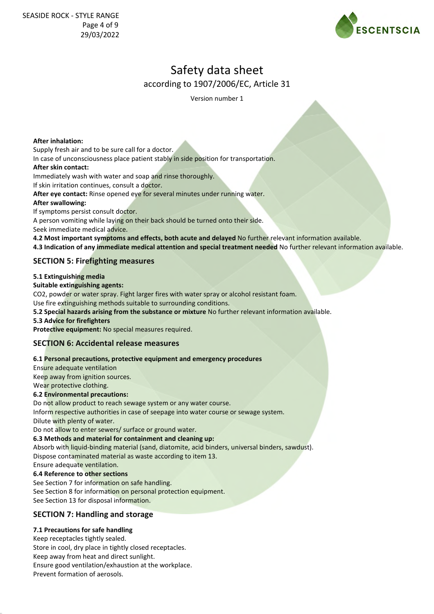

Version number 1

#### **After inhalation:**

Supply fresh air and to be sure call for a doctor.

In case of unconsciousness place patient stably in side position for transportation.

#### **After skin contact:**

Immediately wash with water and soap and rinse thoroughly.

If skin irritation continues, consult a doctor.

**After eye contact:** Rinse opened eye for several minutes under running water.

#### **After swallowing:**

If symptoms persist consult doctor.

A person vomiting while laying on their back should be turned onto their side.

Seek immediate medical advice.

**4.2 Most important symptoms and effects, both acute and delayed** No further relevant information available. **4.3 Indication of any immediate medical attention and special treatment needed** No further relevant information available.

## **SECTION 5: Firefighting measures**

## **5.1 Extinguishing media**

#### **Suitable extinguishing agents:**

CO2, powder or water spray. Fight larger fires with water spray or alcohol resistant foam.

Use fire extinguishing methods suitable to surrounding conditions.

**5.2 Special hazards arising from the substance or mixture** No further relevant information available.

#### **5.3 Advice for firefighters**

**Protective equipment:** No special measures required.

### **SECTION 6: Accidental release measures**

#### **6.1 Personal precautions, protective equipment and emergency procedures**

Ensure adequate ventilation Keep away from ignition sources.

Wear protective clothing.

#### **6.2 Environmental precautions:**

Do not allow product to reach sewage system or any water course.

Inform respective authorities in case of seepage into water course or sewage system.

Dilute with plenty of water.

Do not allow to enter sewers/ surface or ground water.

#### **6.3 Methods and material for containment and cleaning up:**

Absorb with liquid-binding material (sand, diatomite, acid binders, universal binders, sawdust). Dispose contaminated material as waste according to item 13.

Ensure adequate ventilation.

#### **6.4 Reference to other sections**

See Section 7 for information on safe handling. See Section 8 for information on personal protection equipment. See Section 13 for disposal information.

## **SECTION 7: Handling and storage**

## **7.1 Precautions for safe handling**

Keep receptacles tightly sealed. Store in cool, dry place in tightly closed receptacles. Keep away from heat and direct sunlight. Ensure good ventilation/exhaustion at the workplace. Prevent formation of aerosols.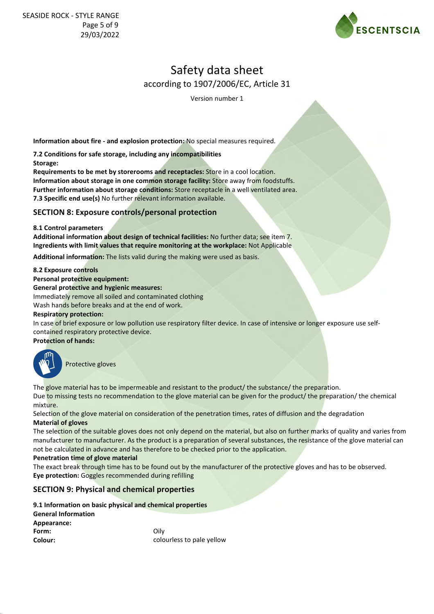

Version number 1

**Information about fire - and explosion protection:** No special measures required.

**7.2 Conditions for safe storage, including any incompatibilities**

**Storage:**

**Requirements to be met by storerooms and receptacles:** Store in a cool location. **Information about storage in one common storage facility:** Store away from foodstuffs. **Further information about storage conditions:** Store receptacle in a well ventilated area. **7.3 Specific end use(s)** No further relevant information available.

## **SECTION 8: Exposure controls/personal protection**

#### **8.1 Control parameters**

**Additional information about design of technical facilities:** No further data; see item 7. **Ingredients with limit values that require monitoring at the workplace:** Not Applicable

**Additional information:** The lists valid during the making were used as basis.

#### **8.2 Exposure controls**

**Personal protective equipment:**

**General protective and hygienic measures:**

Immediately remove all soiled and contaminated clothing

Wash hands before breaks and at the end of work.

#### **Respiratory protection:**

In case of brief exposure or low pollution use respiratory filter device. In case of intensive or longer exposure use selfcontained respiratory protective device.

**Protection of hands:**



Protective gloves

The glove material has to be impermeable and resistant to the product/ the substance/ the preparation. Due to missing tests no recommendation to the glove material can be given for the product/ the preparation/ the chemical mixture.

Selection of the glove material on consideration of the penetration times, rates of diffusion and the degradation **Material of gloves**

The selection of the suitable gloves does not only depend on the material, but also on further marks of quality and varies from manufacturer to manufacturer. As the product is a preparation of several substances, the resistance of the glove material can not be calculated in advance and has therefore to be checked prior to the application.

#### **Penetration time of glove material**

The exact break through time has to be found out by the manufacturer of the protective gloves and has to be observed. **Eye protection:** Goggles recommended during refilling

### **SECTION 9: Physical and chemical properties**

|                            | 9.1 Information on basic physical and chemical properties |
|----------------------------|-----------------------------------------------------------|
| <b>General Information</b> |                                                           |
| Appearance:                |                                                           |
| Form:                      | Oilv                                                      |
| Colour:                    | colourless to pale yellow                                 |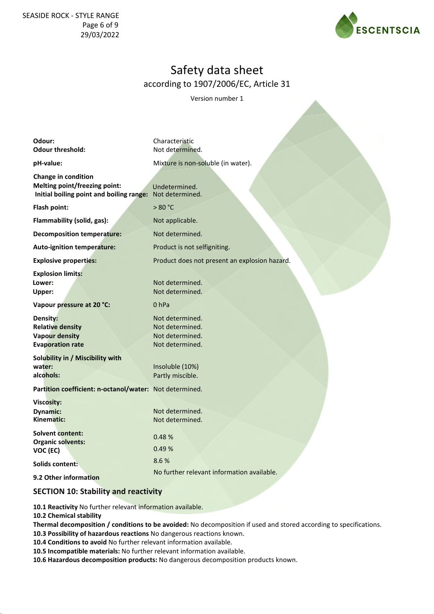SEASIDE ROCK - STYLE RANGE Page 6 of 9 29/03/2022



# Safety data sheet according to 1907/2006/EC, Article 31

Version number 1

| Odour:<br><b>Odour threshold:</b>                                                                                       | Characteristic<br>Not determined.                                        |
|-------------------------------------------------------------------------------------------------------------------------|--------------------------------------------------------------------------|
| pH-value:                                                                                                               | Mixture is non-soluble (in water).                                       |
| Change in condition<br><b>Melting point/freezing point:</b><br>Initial boiling point and boiling range: Not determined. | Undetermined.                                                            |
| Flash point:                                                                                                            | >80 °C                                                                   |
| Flammability (solid, gas):                                                                                              | Not applicable.                                                          |
| <b>Decomposition temperature:</b>                                                                                       | Not determined.                                                          |
| Auto-ignition temperature:                                                                                              | Product is not selfigniting.                                             |
| <b>Explosive properties:</b>                                                                                            | Product does not present an explosion hazard.                            |
| <b>Explosion limits:</b><br>Lower:<br>Upper:                                                                            | Not determined.<br>Not determined.                                       |
| Vapour pressure at 20 °C:                                                                                               | 0 <sub>hPa</sub>                                                         |
| Density:<br><b>Relative density</b><br><b>Vapour density</b><br><b>Evaporation rate</b>                                 | Not determined.<br>Not determined.<br>Not determined.<br>Not determined. |
| Solubility in / Miscibility with                                                                                        |                                                                          |
| water:<br>alcohols:                                                                                                     | Insoluble (10%)<br>Partly miscible.                                      |
| Partition coefficient: n-octanol/water: Not determined.                                                                 |                                                                          |
| Viscosity:<br><b>Dynamic:</b><br>Kinematic:                                                                             | Not determined.<br>Not determined.                                       |
| <b>Solvent content:</b><br><b>Organic solvents:</b><br>VOC (EC)                                                         | 0.48%<br>0.49%                                                           |
| Solids content:                                                                                                         | 8.6%                                                                     |
| 9.2 Other information                                                                                                   | No further relevant information available.                               |
| <b>SECTION 10: Stability and reactivity</b>                                                                             |                                                                          |

**10.1 Reactivity** No further relevant information available.

**10.2 Chemical stability**

**Thermal decomposition / conditions to be avoided:** No decomposition if used and stored according to specifications.

**10.3 Possibility of hazardous reactions** No dangerous reactions known. **10.4 Conditions to avoid** No further relevant information available.

**10.5 Incompatible materials:** No further relevant information available.

**10.6 Hazardous decomposition products:** No dangerous decomposition products known.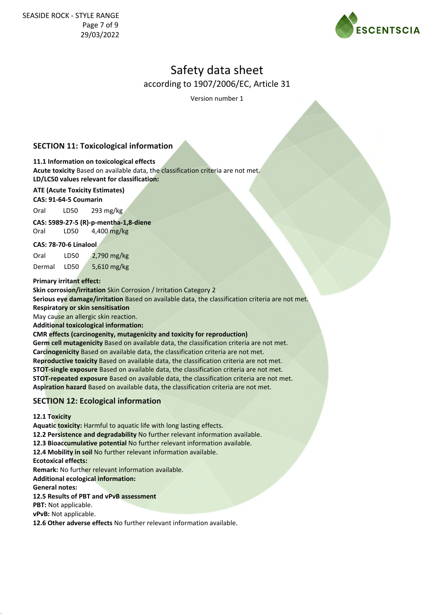

Version number 1

## **SECTION 11: Toxicological information**

### **11.1 Information on toxicological effects**

**Acute toxicity** Based on available data, the classification criteria are not met.

## **LD/LC50 values relevant for classification:**

## **ATE (Acute Toxicity Estimates)**

**CAS: 91-64-5 Coumarin**

Oral LD50 293 mg/kg

**CAS: 5989-27-5 (R)-p-mentha-1,8-diene** 

Oral LD50 4,400 mg/kg

### **CAS: 78-70-6 Linalool**

Oral LD50 2,790 mg/kg Dermal LD50 5,610 mg/kg

#### **Primary irritant effect:**

**Skin corrosion/irritation** Skin Corrosion / Irritation Category 2

**Serious eye damage/irritation** Based on available data, the classification criteria are not met.

**Respiratory or skin sensitisation**

May cause an allergic skin reaction. **Additional toxicological information:**

## **CMR effects (carcinogenity, mutagenicity and toxicity for reproduction)**

**Germ cell mutagenicity** Based on available data, the classification criteria are not met. **Carcinogenicity** Based on available data, the classification criteria are not met. **Reproductive toxicity** Based on available data, the classification criteria are not met. **STOT-single exposure** Based on available data, the classification criteria are not met. **STOT-repeated exposure** Based on available data, the classification criteria are not met. **Aspiration hazard** Based on available data, the classification criteria are not met.

## **SECTION 12: Ecological information**

**12.1 Toxicity**

**Aquatic toxicity:** Harmful to aquatic life with long lasting effects.

**12.2 Persistence and degradability** No further relevant information available.

**12.3 Bioaccumulative potential** No further relevant information available.

**12.4 Mobility in soil** No further relevant information available.

**Ecotoxical effects:**

**Remark:** No further relevant information available.

**Additional ecological information:**

**General notes:**

#### **12.5 Results of PBT and vPvB assessment**

**PBT:** Not applicable.

**vPvB:** Not applicable.

**12.6 Other adverse effects** No further relevant information available.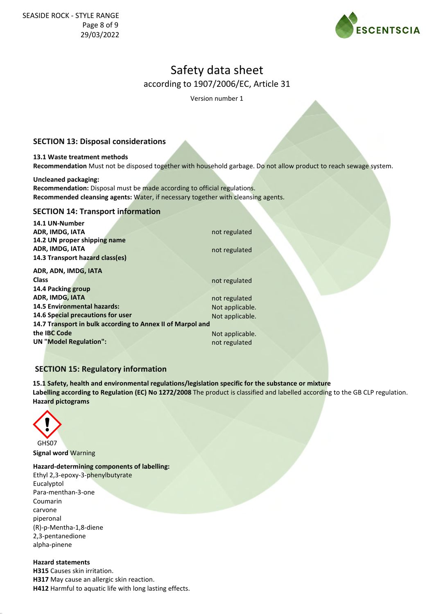

Version number 1

## **SECTION 13: Disposal considerations**

#### **13.1 Waste treatment methods Recommendation** Must not be disposed together with household garbage. Do not allow product to reach sewage system.

#### **Uncleaned packaging:**

**Recommendation:** Disposal must be made according to official regulations. **Recommended cleansing agents:** Water, if necessary together with cleansing agents.

## **SECTION 14: Transport information**

| not regulated                                              |  |  |  |  |
|------------------------------------------------------------|--|--|--|--|
|                                                            |  |  |  |  |
| not regulated                                              |  |  |  |  |
|                                                            |  |  |  |  |
|                                                            |  |  |  |  |
| not regulated                                              |  |  |  |  |
|                                                            |  |  |  |  |
| not regulated                                              |  |  |  |  |
| Not applicable.                                            |  |  |  |  |
| Not applicable.                                            |  |  |  |  |
| 14.7 Transport in bulk according to Annex II of Marpol and |  |  |  |  |
| Not applicable.                                            |  |  |  |  |
| not regulated                                              |  |  |  |  |
|                                                            |  |  |  |  |

## **SECTION 15: Regulatory information**

**15.1 Safety, health and environmental regulations/legislation specific for the substance or mixture Labelling according to Regulation (EC) No 1272/2008** The product is classified and labelled according to the GB CLP regulation. **Hazard pictograms**



**Signal word** Warning

**Hazard-determining components of labelling:** Ethyl 2,3-epoxy-3-phenylbutyrate

Eucalyptol Para-menthan-3-one Coumarin carvone piperonal (R)-p-Mentha-1,8-diene 2,3-pentanedione alpha-pinene

### **Hazard statements**

**H315** Causes skin irritation. **H317** May cause an allergic skin reaction. **H412** Harmful to aquatic life with long lasting effects.